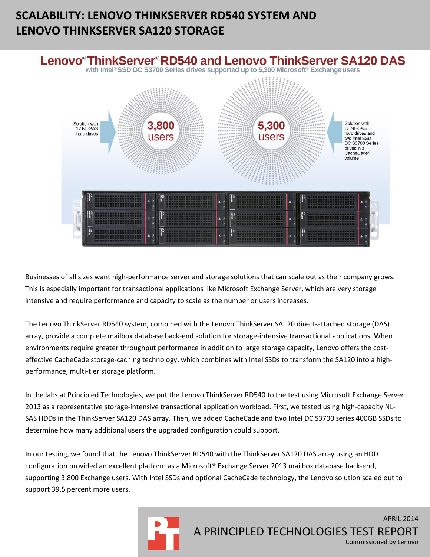# **SCALABILITY: LENOVO THINKSERVER RD540 SYSTEM AND LENOVO THINKSERVER SA120 STORAGE**



Businesses of all sizes want high-performance server and storage solutions that can scale out as their company grows. This is especially important for transactional applications like Microsoft Exchange Server, which are very storage intensive and require performance and capacity to scale as the number or users increases.

The Lenovo ThinkServer RD540 system, combined with the Lenovo ThinkServer SA120 direct-attached storage (DAS) array, provide a complete mailbox database back-end solution for storage-intensive transactional applications. When environments require greater throughput performance in addition to large storage capacity, Lenovo offers the costeffective CacheCade storage-caching technology, which combines with Intel SSDs to transform the SA120 into a highperformance, multi-tier storage platform.

In the labs at Principled Technologies, we put the Lenovo ThinkServer RD540 to the test using Microsoft Exchange Server 2013 as a representative storage-intensive transactional application workload. First, we tested using high-capacity NL-SAS HDDs in the ThinkServer SA120 DAS array. Then, we added CacheCade and two Intel DC S3700 series 400GB SSDs to determine how many additional users the upgraded configuration could support.

In our testing, we found that the Lenovo ThinkServer RD540 with the ThinkServer SA120 DAS array using an HDD configuration provided an excellent platform as a Microsoft® Exchange Server 2013 mailbox database back-end, supporting 3,800 Exchange users. With Intel SSDs and optional CacheCade technology, the Lenovo solution scaled out to support 39.5 percent more users.

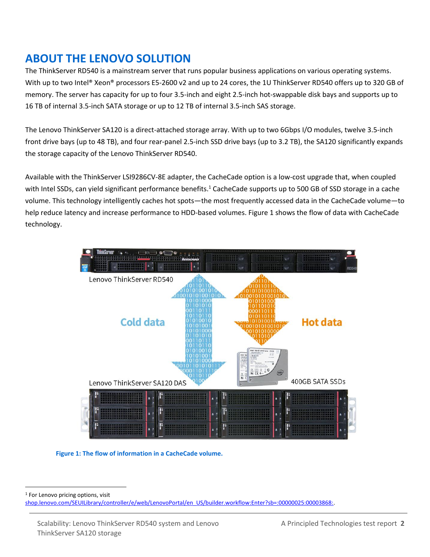# **ABOUT THE LENOVO SOLUTION**

The ThinkServer RD540 is a mainstream server that runs popular business applications on various operating systems. With up to two Intel® Xeon® processors E5-2600 v2 and up to 24 cores, the 1U ThinkServer RD540 offers up to 320 GB of memory. The server has capacity for up to four 3.5-inch and eight 2.5-inch hot-swappable disk bays and supports up to 16 TB of internal 3.5-inch SATA storage or up to 12 TB of internal 3.5-inch SAS storage.

The Lenovo ThinkServer SA120 is a direct-attached storage array. With up to two 6Gbps I/O modules, twelve 3.5-inch front drive bays (up to 48 TB), and four rear-panel 2.5-inch SSD drive bays (up to 3.2 TB), the SA120 significantly expands the storage capacity of the Lenovo ThinkServer RD540.

Available with the ThinkServer LSI9286CV-8E adapter, the CacheCade option is a low-cost upgrade that, when coupled with Intel SSDs, can yield significant performance benefits.<sup>1</sup> CacheCade supports up to 500 GB of SSD storage in a cache volume. This technology intelligently caches hot spots—the most frequently accessed data in the CacheCade volume—to help reduce latency and increase performance to HDD-based volumes. Figure 1 shows the flow of data with CacheCade technology.



**Figure 1: The flow of information in a CacheCade volume.**

 $\overline{\phantom{a}}$ <sup>1</sup> For Lenovo pricing options, visit

[shop.lenovo.com/SEUILibrary/controller/e/web/LenovoPortal/en\\_US/builder.workflow:Enter?sb=:00000025:00003868:.](http://shop.lenovo.com/SEUILibrary/controller/e/web/LenovoPortal/en_US/builder.workflow:Enter?sb=:00000025:00003868:)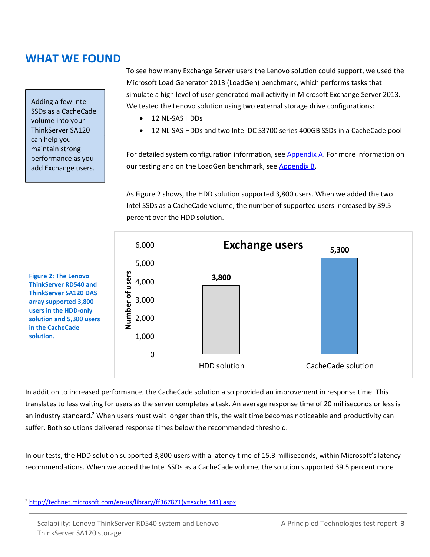## **WHAT WE FOUND**

Adding a few Intel SSDs as a CacheCade volume into your ThinkServer SA120 can help you maintain strong performance as you add Exchange users.

**Figure 2: The Lenovo ThinkServer RD540 and ThinkServer SA120 DAS array supported 3,800 users in the HDD-only solution and 5,300 users in the CacheCade** 

**solution.**

 $\overline{\phantom{a}}$ 

To see how many Exchange Server users the Lenovo solution could support, we used the Microsoft Load Generator 2013 (LoadGen) benchmark, which performs tasks that simulate a high level of user-generated mail activity in Microsoft Exchange Server 2013. We tested the Lenovo solution using two external storage drive configurations:

- 12 NL-SAS HDDs
- 12 NL-SAS HDDs and two Intel DC S3700 series 400GB SSDs in a CacheCade pool

For detailed system configuration information, se[e Appendix A.](#page-4-0) For more information on our testing and on the LoadGen benchmark, see [Appendix B.](#page-7-0)

As Figure 2 shows, the HDD solution supported 3,800 users. When we added the two Intel SSDs as a CacheCade volume, the number of supported users increased by 39.5 percent over the HDD solution.



In addition to increased performance, the CacheCade solution also provided an improvement in response time. This translates to less waiting for users as the server completes a task. An average response time of 20 milliseconds or less is an industry standard.<sup>2</sup> When users must wait longer than this, the wait time becomes noticeable and productivity can suffer. Both solutions delivered response times below the recommended threshold.

In our tests, the HDD solution supported 3,800 users with a latency time of 15.3 milliseconds, within Microsoft's latency recommendations. When we added the Intel SSDs as a CacheCade volume, the solution supported 39.5 percent more

<sup>2</sup> [http://technet.microsoft.com/en-us/library/ff367871\(v=exchg.141\).aspx](http://technet.microsoft.com/en-us/library/ff367871(v=exchg.141).aspx)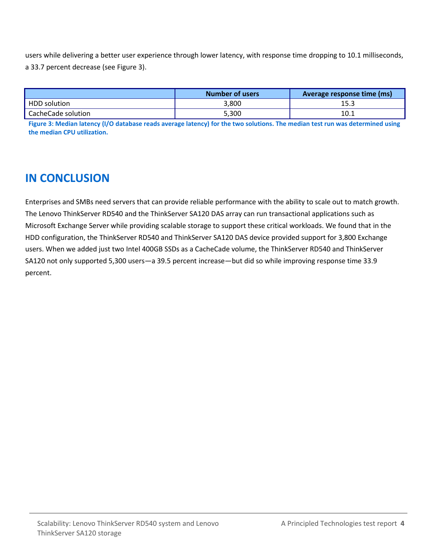users while delivering a better user experience through lower latency, with response time dropping to 10.1 milliseconds, a 33.7 percent decrease (see Figure 3).

|                    | <b>Number of users</b> | Average response time (ms) |
|--------------------|------------------------|----------------------------|
| HDD solution       | 3.800                  | 15.3                       |
| CacheCade solution | 5,300                  | 10.1                       |

**Figure 3: Median latency (I/O database reads average latency) for the two solutions. The median test run was determined using the median CPU utilization.**

# **IN CONCLUSION**

Enterprises and SMBs need servers that can provide reliable performance with the ability to scale out to match growth. The Lenovo ThinkServer RD540 and the ThinkServer SA120 DAS array can run transactional applications such as Microsoft Exchange Server while providing scalable storage to support these critical workloads. We found that in the HDD configuration, the ThinkServer RD540 and ThinkServer SA120 DAS device provided support for 3,800 Exchange users. When we added just two Intel 400GB SSDs as a CacheCade volume, the ThinkServer RD540 and ThinkServer SA120 not only supported 5,300 users—a 39.5 percent increase—but did so while improving response time 33.9 percent.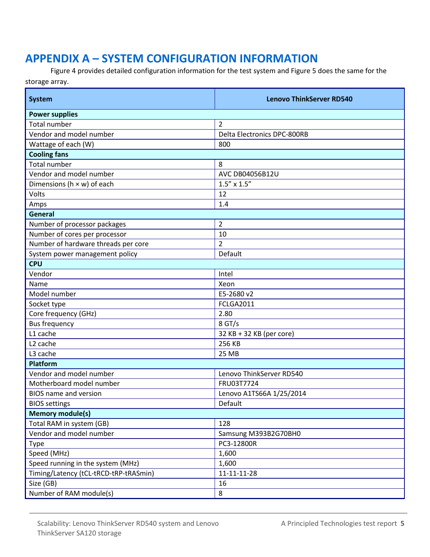# <span id="page-4-0"></span>**APPENDIX A – SYSTEM CONFIGURATION INFORMATION**

Figure 4 provides detailed configuration information for the test system and Figure 5 does the same for the storage array.

| <b>System</b>                         | <b>Lenovo ThinkServer RD540</b> |  |
|---------------------------------------|---------------------------------|--|
| <b>Power supplies</b>                 |                                 |  |
| <b>Total number</b>                   | $\overline{2}$                  |  |
| Vendor and model number               | Delta Electronics DPC-800RB     |  |
| Wattage of each (W)                   | 800                             |  |
| <b>Cooling fans</b>                   |                                 |  |
| <b>Total number</b>                   | 8                               |  |
| Vendor and model number               | AVC DB04056B12U                 |  |
| Dimensions ( $h \times w$ ) of each   | $1.5'' \times 1.5''$            |  |
| Volts                                 | 12                              |  |
| Amps                                  | 1.4                             |  |
| General                               |                                 |  |
| Number of processor packages          | $\overline{2}$                  |  |
| Number of cores per processor         | 10                              |  |
| Number of hardware threads per core   | $\overline{2}$                  |  |
| System power management policy        | Default                         |  |
| <b>CPU</b>                            |                                 |  |
| Vendor                                | Intel                           |  |
| Name                                  | Xeon                            |  |
| Model number                          | E5-2680 v2                      |  |
| Socket type                           | <b>FCLGA2011</b>                |  |
| Core frequency (GHz)                  | 2.80                            |  |
| <b>Bus frequency</b>                  | $8$ GT/s                        |  |
| L1 cache                              | 32 KB + 32 KB (per core)        |  |
| L <sub>2</sub> cache                  | 256 KB                          |  |
| L3 cache                              | 25 MB                           |  |
| <b>Platform</b>                       |                                 |  |
| Vendor and model number               | Lenovo ThinkServer RD540        |  |
| Motherboard model number              | FRU03T7724                      |  |
| <b>BIOS</b> name and version          | Lenovo A1TS66A 1/25/2014        |  |
| <b>BIOS settings</b>                  | Default                         |  |
| <b>Memory module(s)</b>               |                                 |  |
| Total RAM in system (GB)              | 128                             |  |
| Vendor and model number               | Samsung M393B2G70BH0            |  |
| Type                                  | PC3-12800R                      |  |
| Speed (MHz)                           | 1,600                           |  |
| Speed running in the system (MHz)     | 1,600                           |  |
| Timing/Latency (tCL-tRCD-tRP-tRASmin) | 11-11-11-28                     |  |
| Size (GB)                             | 16                              |  |
| Number of RAM module(s)               | 8                               |  |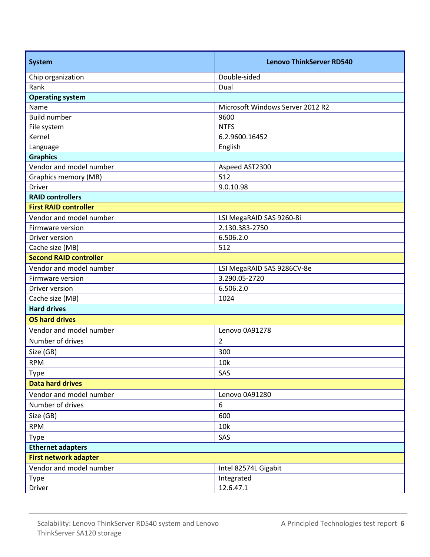| <b>System</b>                 | <b>Lenovo ThinkServer RD540</b>  |  |  |
|-------------------------------|----------------------------------|--|--|
| Chip organization             | Double-sided                     |  |  |
| Rank                          | Dual                             |  |  |
| <b>Operating system</b>       |                                  |  |  |
| Name                          | Microsoft Windows Server 2012 R2 |  |  |
| <b>Build number</b>           | 9600                             |  |  |
| File system                   | <b>NTFS</b>                      |  |  |
| Kernel                        | 6.2.9600.16452                   |  |  |
| Language                      | English                          |  |  |
| <b>Graphics</b>               |                                  |  |  |
| Vendor and model number       | Aspeed AST2300                   |  |  |
| <b>Graphics memory (MB)</b>   | 512                              |  |  |
| Driver                        | 9.0.10.98                        |  |  |
| <b>RAID controllers</b>       |                                  |  |  |
| <b>First RAID controller</b>  |                                  |  |  |
| Vendor and model number       | LSI MegaRAID SAS 9260-8i         |  |  |
| Firmware version              | 2.130.383-2750                   |  |  |
| Driver version                | 6.506.2.0                        |  |  |
| Cache size (MB)               | 512                              |  |  |
| <b>Second RAID controller</b> |                                  |  |  |
| Vendor and model number       | LSI MegaRAID SAS 9286CV-8e       |  |  |
| Firmware version              | 3.290.05-2720                    |  |  |
| Driver version                | 6.506.2.0                        |  |  |
| Cache size (MB)               | 1024                             |  |  |
| <b>Hard drives</b>            |                                  |  |  |
| <b>OS hard drives</b>         |                                  |  |  |
| Vendor and model number       | Lenovo 0A91278                   |  |  |
| Number of drives              | $\overline{2}$                   |  |  |
| Size (GB)                     | 300                              |  |  |
| <b>RPM</b>                    | 10k                              |  |  |
| Type                          | SAS                              |  |  |
| <b>Data hard drives</b>       |                                  |  |  |
| Vendor and model number       | Lenovo 0A91280                   |  |  |
| Number of drives              | 6                                |  |  |
| Size (GB)                     | 600                              |  |  |
| <b>RPM</b>                    | 10k                              |  |  |
| Type                          | SAS                              |  |  |
| <b>Ethernet adapters</b>      |                                  |  |  |
| <b>First network adapter</b>  |                                  |  |  |
| Vendor and model number       | Intel 82574L Gigabit             |  |  |
| Type                          | Integrated                       |  |  |
| Driver                        | 12.6.47.1                        |  |  |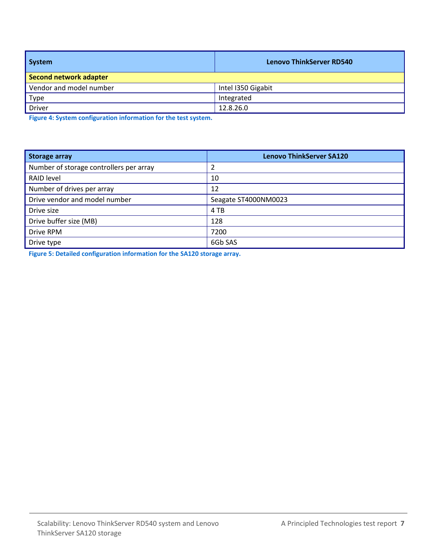| System                        | <b>Lenovo ThinkServer RD540</b> |
|-------------------------------|---------------------------------|
| <b>Second network adapter</b> |                                 |
| Vendor and model number       | Intel I350 Gigabit              |
| Type                          | Integrated                      |
| Driver                        | 12.8.26.0                       |

**Figure 4: System configuration information for the test system.**

| <b>Storage array</b>                    | <b>Lenovo ThinkServer SA120</b> |
|-----------------------------------------|---------------------------------|
| Number of storage controllers per array |                                 |
| RAID level                              | 10                              |
| Number of drives per array              | 12                              |
| Drive vendor and model number           | Seagate ST4000NM0023            |
| Drive size                              | 4 TB                            |
| Drive buffer size (MB)                  | 128                             |
| Drive RPM                               | 7200                            |
| Drive type                              | 6Gb SAS                         |

**Figure 5: Detailed configuration information for the SA120 storage array.**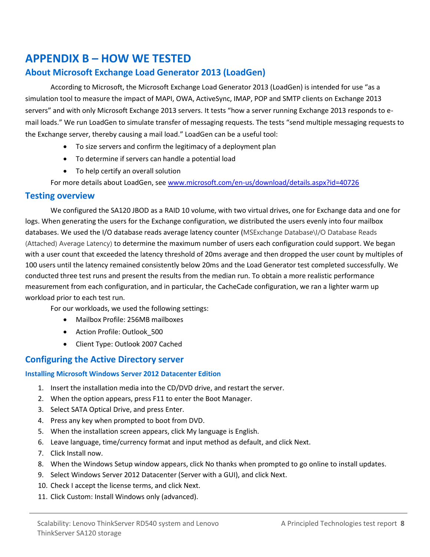# <span id="page-7-0"></span>**APPENDIX B – HOW WE TESTED**

## **About Microsoft Exchange Load Generator 2013 (LoadGen)**

According to Microsoft, the Microsoft Exchange Load Generator 2013 (LoadGen) is intended for use "as a simulation tool to measure the impact of MAPI, OWA, ActiveSync, IMAP, POP and SMTP clients on Exchange 2013 servers" and with only Microsoft Exchange 2013 servers. It tests "how a server running Exchange 2013 responds to email loads." We run LoadGen to simulate transfer of messaging requests. The tests "send multiple messaging requests to the Exchange server, thereby causing a mail load." LoadGen can be a useful tool:

- To size servers and confirm the legitimacy of a deployment plan
- To determine if servers can handle a potential load
- To help certify an overall solution

For more details about LoadGen, see [www.microsoft.com/en-us/download/details.aspx?id=40726](file://10.41.1.200/pt/Project%20Data/Card/Report/www.microsoft.com/en-us/download/details.aspx%3fid=40726)

### **Testing overview**

We configured the SA120 JBOD as a RAID 10 volume, with two virtual drives, one for Exchange data and one for logs. When generating the users for the Exchange configuration, we distributed the users evenly into four mailbox databases. We used the I/O database reads average latency counter (MSExchange Database\I/O Database Reads (Attached) Average Latency) to determine the maximum number of users each configuration could support. We began with a user count that exceeded the latency threshold of 20ms average and then dropped the user count by multiples of 100 users until the latency remained consistently below 20ms and the Load Generator test completed successfully. We conducted three test runs and present the results from the median run. To obtain a more realistic performance measurement from each configuration, and in particular, the CacheCade configuration, we ran a lighter warm up workload prior to each test run.

For our workloads, we used the following settings:

- Mailbox Profile: 256MB mailboxes
- Action Profile: Outlook 500
- Client Type: Outlook 2007 Cached

## **Configuring the Active Directory server**

### **Installing Microsoft Windows Server 2012 Datacenter Edition**

- 1. Insert the installation media into the CD/DVD drive, and restart the server.
- 2. When the option appears, press F11 to enter the Boot Manager.
- 3. Select SATA Optical Drive, and press Enter.
- 4. Press any key when prompted to boot from DVD.
- 5. When the installation screen appears, click My language is English.
- 6. Leave language, time/currency format and input method as default, and click Next.
- 7. Click Install now.
- 8. When the Windows Setup window appears, click No thanks when prompted to go online to install updates.
- 9. Select Windows Server 2012 Datacenter (Server with a GUI), and click Next.
- 10. Check I accept the license terms, and click Next.
- 11. Click Custom: Install Windows only (advanced).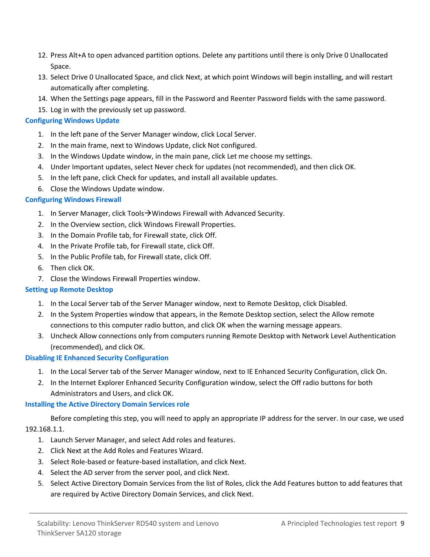- 12. Press Alt+A to open advanced partition options. Delete any partitions until there is only Drive 0 Unallocated Space.
- 13. Select Drive 0 Unallocated Space, and click Next, at which point Windows will begin installing, and will restart automatically after completing.
- 14. When the Settings page appears, fill in the Password and Reenter Password fields with the same password.
- 15. Log in with the previously set up password.

#### **Configuring Windows Update**

- 1. In the left pane of the Server Manager window, click Local Server.
- 2. In the main frame, next to Windows Update, click Not configured.
- 3. In the Windows Update window, in the main pane, click Let me choose my settings.
- 4. Under Important updates, select Never check for updates (not recommended), and then click OK.
- 5. In the left pane, click Check for updates, and install all available updates.
- 6. Close the Windows Update window.

#### **Configuring Windows Firewall**

- 1. In Server Manager, click Tools $\rightarrow$  Windows Firewall with Advanced Security.
- 2. In the Overview section, click Windows Firewall Properties.
- 3. In the Domain Profile tab, for Firewall state, click Off.
- 4. In the Private Profile tab, for Firewall state, click Off.
- 5. In the Public Profile tab, for Firewall state, click Off.
- 6. Then click OK.
- 7. Close the Windows Firewall Properties window.

#### **Setting up Remote Desktop**

- 1. In the Local Server tab of the Server Manager window, next to Remote Desktop, click Disabled.
- 2. In the System Properties window that appears, in the Remote Desktop section, select the Allow remote connections to this computer radio button, and click OK when the warning message appears.
- 3. Uncheck Allow connections only from computers running Remote Desktop with Network Level Authentication (recommended), and click OK.

#### **Disabling IE Enhanced Security Configuration**

- 1. In the Local Server tab of the Server Manager window, next to IE Enhanced Security Configuration, click On.
- 2. In the Internet Explorer Enhanced Security Configuration window, select the Off radio buttons for both Administrators and Users, and click OK.

#### **Installing the Active Directory Domain Services role**

Before completing this step, you will need to apply an appropriate IP address for the server. In our case, we used 192.168.1.1.

- 1. Launch Server Manager, and select Add roles and features.
- 2. Click Next at the Add Roles and Features Wizard.
- 3. Select Role-based or feature-based installation, and click Next.
- 4. Select the AD server from the server pool, and click Next.
- 5. Select Active Directory Domain Services from the list of Roles, click the Add Features button to add features that are required by Active Directory Domain Services, and click Next.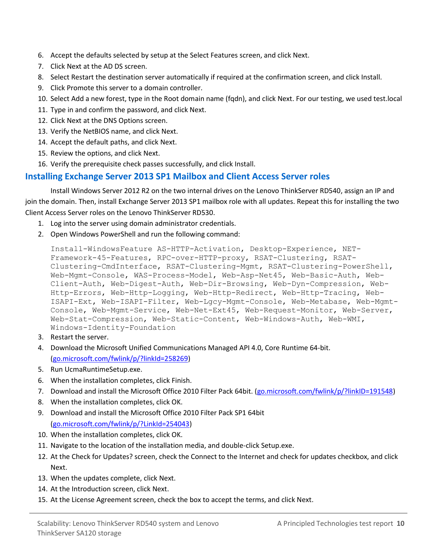- 6. Accept the defaults selected by setup at the Select Features screen, and click Next.
- 7. Click Next at the AD DS screen.
- 8. Select Restart the destination server automatically if required at the confirmation screen, and click Install.
- 9. Click Promote this server to a domain controller.
- 10. Select Add a new forest, type in the Root domain name (fqdn), and click Next. For our testing, we used test.local
- 11. Type in and confirm the password, and click Next.
- 12. Click Next at the DNS Options screen.
- 13. Verify the NetBIOS name, and click Next.
- 14. Accept the default paths, and click Next.
- 15. Review the options, and click Next.
- 16. Verify the prerequisite check passes successfully, and click Install.

## **Installing Exchange Server 2013 SP1 Mailbox and Client Access Server roles**

Install Windows Server 2012 R2 on the two internal drives on the Lenovo ThinkServer RD540, assign an IP and join the domain. Then, install Exchange Server 2013 SP1 mailbox role with all updates. Repeat this for installing the two Client Access Server roles on the Lenovo ThinkServer RD530.

- 1. Log into the server using domain administrator credentials.
- 2. Open Windows PowerShell and run the following command:

```
Install-WindowsFeature AS-HTTP-Activation, Desktop-Experience, NET-
Framework-45-Features, RPC-over-HTTP-proxy, RSAT-Clustering, RSAT-
Clustering-CmdInterface, RSAT-Clustering-Mgmt, RSAT-Clustering-PowerShell, 
Web-Mgmt-Console, WAS-Process-Model, Web-Asp-Net45, Web-Basic-Auth, Web-
Client-Auth, Web-Digest-Auth, Web-Dir-Browsing, Web-Dyn-Compression, Web-
Http-Errors, Web-Http-Logging, Web-Http-Redirect, Web-Http-Tracing, Web-
ISAPI-Ext, Web-ISAPI-Filter, Web-Lgcy-Mgmt-Console, Web-Metabase, Web-Mgmt-
Console, Web-Mgmt-Service, Web-Net-Ext45, Web-Request-Monitor, Web-Server, 
Web-Stat-Compression, Web-Static-Content, Web-Windows-Auth, Web-WMI, 
Windows-Identity-Foundation
```
- 3. Restart the server.
- 4. Download the Microsoft Unified Communications Managed API 4.0, Core Runtime 64-bit. [\(go.microsoft.com/fwlink/p/?linkId=258269\)](http://go.microsoft.com/fwlink/p/?linkId=258269)
- 5. Run UcmaRuntimeSetup.exe.
- 6. When the installation completes, click Finish.
- 7. Download and install the Microsoft Office 2010 Filter Pack 64bit. [\(go.microsoft.com/fwlink/p/?linkID=191548\)](http://go.microsoft.com/fwlink/p/?linkID=191548)
- 8. When the installation completes, click OK.
- 9. Download and install the Microsoft Office 2010 Filter Pack SP1 64bit [\(go.microsoft.com/fwlink/p/?LinkId=254043\)](http://go.microsoft.com/fwlink/p/?LinkId=254043)
- 10. When the installation completes, click OK.
- 11. Navigate to the location of the installation media, and double-click Setup.exe.
- 12. At the Check for Updates? screen, check the Connect to the Internet and check for updates checkbox, and click Next.
- 13. When the updates complete, click Next.
- 14. At the Introduction screen, click Next.
- 15. At the License Agreement screen, check the box to accept the terms, and click Next.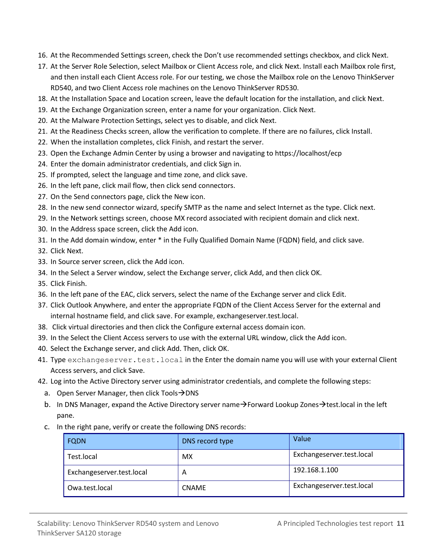- 16. At the Recommended Settings screen, check the Don't use recommended settings checkbox, and click Next.
- 17. At the Server Role Selection, select Mailbox or Client Access role, and click Next. Install each Mailbox role first, and then install each Client Access role. For our testing, we chose the Mailbox role on the Lenovo ThinkServer RD540, and two Client Access role machines on the Lenovo ThinkServer RD530.
- 18. At the Installation Space and Location screen, leave the default location for the installation, and click Next.
- 19. At the Exchange Organization screen, enter a name for your organization. Click Next.
- 20. At the Malware Protection Settings, select yes to disable, and click Next.
- 21. At the Readiness Checks screen, allow the verification to complete. If there are no failures, click Install.
- 22. When the installation completes, click Finish, and restart the server.
- 23. Open the Exchange Admin Center by using a browser and navigating to https://localhost/ecp
- 24. Enter the domain administrator credentials, and click Sign in.
- 25. If prompted, select the language and time zone, and click save.
- 26. In the left pane, click mail flow, then click send connectors.
- 27. On the Send connectors page, click the New icon.
- 28. In the new send connector wizard, specify SMTP as the name and select Internet as the type. Click next.
- 29. In the Network settings screen, choose MX record associated with recipient domain and click next.
- 30. In the Address space screen, click the Add icon.
- 31. In the Add domain window, enter \* in the Fully Qualified Domain Name (FQDN) field, and click save.
- 32. Click Next.
- 33. In Source server screen, click the Add icon.
- 34. In the Select a Server window, select the Exchange server, click Add, and then click OK.
- 35. Click Finish.
- 36. In the left pane of the EAC, click servers, select the name of the Exchange server and click Edit.
- 37. Click Outlook Anywhere, and enter the appropriate FQDN of the Client Access Server for the external and internal hostname field, and click save. For example, exchangeserver.test.local.
- 38. Click virtual directories and then click the Configure external access domain icon.
- 39. In the Select the Client Access servers to use with the external URL window, click the Add icon.
- 40. Select the Exchange server, and click Add. Then, click OK.
- 41. Type exchangeserver.test.local in the Enter the domain name you will use with your external Client Access servers, and click Save.
- 42. Log into the Active Directory server using administrator credentials, and complete the following steps:
	- a. Open Server Manager, then click Tools  $\rightarrow$  DNS
	- b. In DNS Manager, expand the Active Directory server name  $\rightarrow$  Forward Lookup Zones  $\rightarrow$  test.local in the left pane.
	- c. In the right pane, verify or create the following DNS records:

| <b>FQDN</b>               | DNS record type | Value                     |
|---------------------------|-----------------|---------------------------|
| Test.local                | мx              | Exchangeserver.test.local |
| Exchangeserver.test.local | A               | 192.168.1.100             |
| Owa.test.local            | <b>CNAMF</b>    | Exchangeserver.test.local |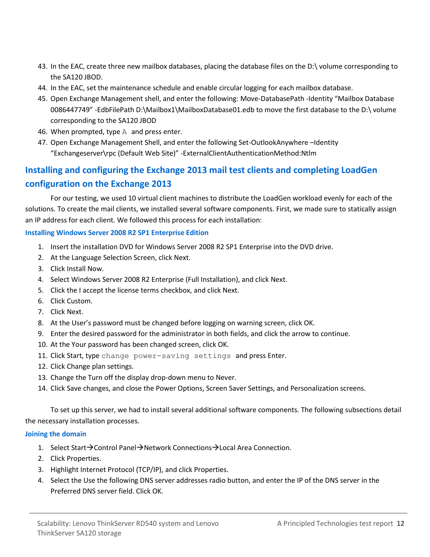- 43. In the EAC, create three new mailbox databases, placing the database files on the D:\ volume corresponding to the SA120 JBOD.
- 44. In the EAC, set the maintenance schedule and enable circular logging for each mailbox database.
- 45. Open Exchange Management shell, and enter the following: Move-DatabasePath -Identity "Mailbox Database 0086447749" -EdbFilePath D:\Mailbox1\MailboxDatabase01.edb to move the first database to the D:\ volume corresponding to the SA120 JBOD
- 46. When prompted, type  $A$  and press enter.
- 47. Open Exchange Management Shell, and enter the following Set-OutlookAnywhere -Identity "Exchangeserver\rpc (Default Web Site)" -ExternalClientAuthenticationMethod:Ntlm

## **Installing and configuring the Exchange 2013 mail test clients and completing LoadGen configuration on the Exchange 2013**

For our testing, we used 10 virtual client machines to distribute the LoadGen workload evenly for each of the solutions. To create the mail clients, we installed several software components. First, we made sure to statically assign an IP address for each client. We followed this process for each installation:

#### **Installing Windows Server 2008 R2 SP1 Enterprise Edition**

- 1. Insert the installation DVD for Windows Server 2008 R2 SP1 Enterprise into the DVD drive.
- 2. At the Language Selection Screen, click Next.
- 3. Click Install Now.
- 4. Select Windows Server 2008 R2 Enterprise (Full Installation), and click Next.
- 5. Click the I accept the license terms checkbox, and click Next.
- 6. Click Custom.
- 7. Click Next.
- 8. At the User's password must be changed before logging on warning screen, click OK.
- 9. Enter the desired password for the administrator in both fields, and click the arrow to continue.
- 10. At the Your password has been changed screen, click OK.
- 11. Click Start, type change power-saving settings and press Enter.
- 12. Click Change plan settings.
- 13. Change the Turn off the display drop-down menu to Never.
- 14. Click Save changes, and close the Power Options, Screen Saver Settings, and Personalization screens.

To set up this server, we had to install several additional software components. The following subsections detail the necessary installation processes.

#### **Joining the domain**

- 1. Select Start $\rightarrow$ Control Panel $\rightarrow$ Network Connections $\rightarrow$ Local Area Connection.
- 2. Click Properties.
- 3. Highlight Internet Protocol (TCP/IP), and click Properties.
- 4. Select the Use the following DNS server addresses radio button, and enter the IP of the DNS server in the Preferred DNS server field. Click OK.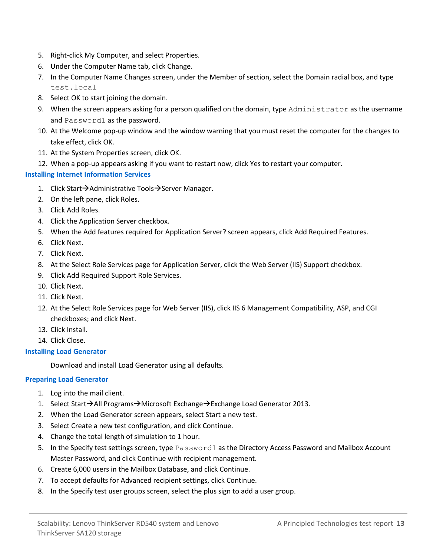- 5. Right-click My Computer, and select Properties.
- 6. Under the Computer Name tab, click Change.
- 7. In the Computer Name Changes screen, under the Member of section, select the Domain radial box, and type test.local
- 8. Select OK to start joining the domain.
- 9. When the screen appears asking for a person qualified on the domain, type Administrator as the username and Password1 as the password.
- 10. At the Welcome pop-up window and the window warning that you must reset the computer for the changes to take effect, click OK.
- 11. At the System Properties screen, click OK.
- 12. When a pop-up appears asking if you want to restart now, click Yes to restart your computer.

#### **Installing Internet Information Services**

- 1. Click Start $\rightarrow$ Administrative Tools $\rightarrow$ Server Manager.
- 2. On the left pane, click Roles.
- 3. Click Add Roles.
- 4. Click the Application Server checkbox.
- 5. When the Add features required for Application Server? screen appears, click Add Required Features.
- 6. Click Next.
- 7. Click Next.
- 8. At the Select Role Services page for Application Server, click the Web Server (IIS) Support checkbox.
- 9. Click Add Required Support Role Services.
- 10. Click Next.
- 11. Click Next.
- 12. At the Select Role Services page for Web Server (IIS), click IIS 6 Management Compatibility, ASP, and CGI checkboxes; and click Next.
- 13. Click Install.
- 14. Click Close.

### **Installing Load Generator**

Download and install Load Generator using all defaults.

### **Preparing Load Generator**

- 1. Log into the mail client.
- 1. Select Start $\rightarrow$ All Programs $\rightarrow$ Microsoft Exchange $\rightarrow$ Exchange Load Generator 2013.
- 2. When the Load Generator screen appears, select Start a new test.
- 3. Select Create a new test configuration, and click Continue.
- 4. Change the total length of simulation to 1 hour.
- 5. In the Specify test settings screen, type Password1 as the Directory Access Password and Mailbox Account Master Password, and click Continue with recipient management.
- 6. Create 6,000 users in the Mailbox Database, and click Continue.
- 7. To accept defaults for Advanced recipient settings, click Continue.
- 8. In the Specify test user groups screen, select the plus sign to add a user group.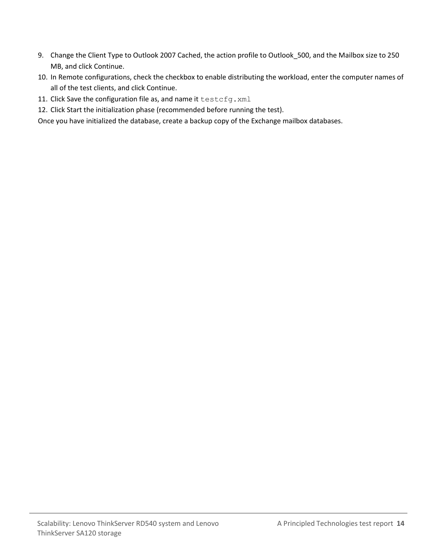- 9. Change the Client Type to Outlook 2007 Cached, the action profile to Outlook\_500, and the Mailbox size to 250 MB, and click Continue.
- 10. In Remote configurations, check the checkbox to enable distributing the workload, enter the computer names of all of the test clients, and click Continue.
- 11. Click Save the configuration file as, and name it testcfg. xml
- 12. Click Start the initialization phase (recommended before running the test).

Once you have initialized the database, create a backup copy of the Exchange mailbox databases.